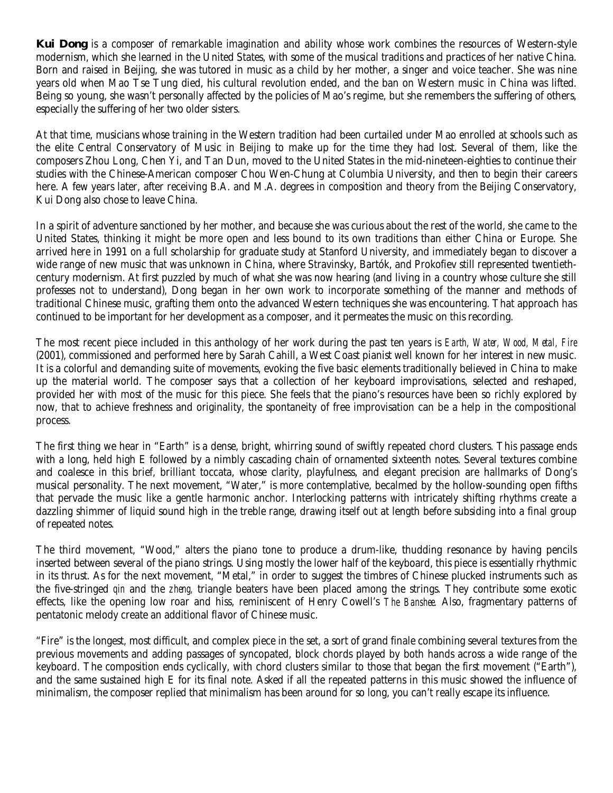**Kui Dong** is a composer of remarkable imagination and ability whose work combines the resources of Western-style modernism, which she learned in the United States, with some of the musical traditions and practices of her native China. Born and raised in Beijing, she was tutored in music as a child by her mother, a singer and voice teacher. She was nine years old when Mao Tse Tung died, his cultural revolution ended, and the ban on Western music in China was lifted. Being so young, she wasn't personally affected by the policies of Mao's regime, but she remembers the suffering of others, especially the suffering of her two older sisters.

At that time, musicians whose training in the Western tradition had been curtailed under Mao enrolled at schools such as the elite Central Conservatory of Music in Beijing to make up for the time they had lost. Several of them, like the composers Zhou Long, Chen Yi, and Tan Dun, moved to the United States in the mid-nineteen-eighties to continue their studies with the Chinese-American composer Chou Wen-Chung at Columbia University, and then to begin their careers here. A few years later, after receiving B.A. and M.A. degrees in composition and theory from the Beijing Conservatory, Kui Dong also chose to leave China.

In a spirit of adventure sanctioned by her mother, and because she was curious about the rest of the world, she came to the United States, thinking it might be more open and less bound to its own traditions than either China or Europe. She arrived here in 1991 on a full scholarship for graduate study at Stanford University, and immediately began to discover a wide range of new music that was unknown in China, where Stravinsky, Bartók, and Prokofiev still represented twentiethcentury modernism. At first puzzled by much of what she was now hearing (and living in a country whose culture she still professes not to understand), Dong began in her own work to incorporate something of the manner and methods of traditional Chinese music, grafting them onto the advanced Western techniques she was encountering. That approach has continued to be important for her development as a composer, and it permeates the music on this recording.

The most recent piece included in this anthology of her work during the past ten years is *Earth, Water, Wood, Metal, Fire* (2001), commissioned and performed here by Sarah Cahill, a West Coast pianist well known for her interest in new music. It is a colorful and demanding suite of movements, evoking the five basic elements traditionally believed in China to make up the material world. The composer says that a collection of her keyboard improvisations, selected and reshaped, provided her with most of the music for this piece. She feels that the piano's resources have been so richly explored by now, that to achieve freshness and originality, the spontaneity of free improvisation can be a help in the compositional process.

The first thing we hear in "Earth" is a dense, bright, whirring sound of swiftly repeated chord clusters. This passage ends with a long, held high E followed by a nimbly cascading chain of ornamented sixteenth notes. Several textures combine and coalesce in this brief, brilliant toccata, whose clarity, playfulness, and elegant precision are hallmarks of Dong's musical personality. The next movement, "Water," is more contemplative, becalmed by the hollow-sounding open fifths that pervade the music like a gentle harmonic anchor. Interlocking patterns with intricately shifting rhythms create a dazzling shimmer of liquid sound high in the treble range, drawing itself out at length before subsiding into a final group of repeated notes.

The third movement, "Wood," alters the piano tone to produce a drum-like, thudding resonance by having pencils inserted between several of the piano strings. Using mostly the lower half of the keyboard, this piece is essentially rhythmic in its thrust. As for the next movement, "Metal," in order to suggest the timbres of Chinese plucked instruments such as the five-stringed *qin* and the *zheng,* triangle beaters have been placed among the strings. They contribute some exotic effects, like the opening low roar and hiss, reminiscent of Henry Cowell's *The Banshee.* Also, fragmentary patterns of pentatonic melody create an additional flavor of Chinese music.

"Fire" is the longest, most difficult, and complex piece in the set, a sort of grand finale combining several textures from the previous movements and adding passages of syncopated, block chords played by both hands across a wide range of the keyboard. The composition ends cyclically, with chord clusters similar to those that began the first movement ("Earth"), and the same sustained high E for its final note. Asked if all the repeated patterns in this music showed the influence of minimalism, the composer replied that minimalism has been around for so long, you can't really escape its influence.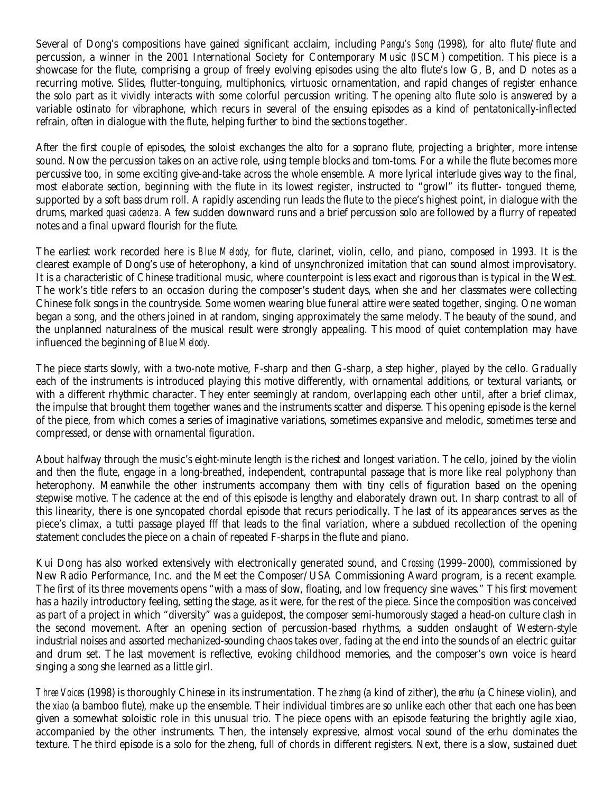Several of Dong's compositions have gained significant acclaim, including *Pangu's Song* (1998), for alto flute/flute and percussion, a winner in the 2001 International Society for Contemporary Music (ISCM) competition. This piece is a showcase for the flute, comprising a group of freely evolving episodes using the alto flute's low G, B, and D notes as a recurring motive. Slides, flutter-tonguing, multiphonics, virtuosic ornamentation, and rapid changes of register enhance the solo part as it vividly interacts with some colorful percussion writing. The opening alto flute solo is answered by a variable ostinato for vibraphone, which recurs in several of the ensuing episodes as a kind of pentatonically-inflected refrain, often in dialogue with the flute, helping further to bind the sections together.

After the first couple of episodes, the soloist exchanges the alto for a soprano flute, projecting a brighter, more intense sound. Now the percussion takes on an active role, using temple blocks and tom-toms. For a while the flute becomes more percussive too, in some exciting give-and-take across the whole ensemble. A more lyrical interlude gives way to the final, most elaborate section, beginning with the flute in its lowest register, instructed to "growl" its flutter- tongued theme, supported by a soft bass drum roll. A rapidly ascending run leads the flute to the piece's highest point, in dialogue with the drums, marked *quasi cadenza.* A few sudden downward runs and a brief percussion solo are followed by a flurry of repeated notes and a final upward flourish for the flute.

The earliest work recorded here is *Blue Melody,* for flute, clarinet, violin, cello, and piano, composed in 1993. It is the clearest example of Dong's use of heterophony, a kind of unsynchronized imitation that can sound almost improvisatory. It is a characteristic of Chinese traditional music, where counterpoint is less exact and rigorous than is typical in the West. The work's title refers to an occasion during the composer's student days, when she and her classmates were collecting Chinese folk songs in the countryside. Some women wearing blue funeral attire were seated together, singing. One woman began a song, and the others joined in at random, singing approximately the same melody. The beauty of the sound, and the unplanned naturalness of the musical result were strongly appealing. This mood of quiet contemplation may have influenced the beginning of *Blue Melody.*

The piece starts slowly, with a two-note motive, F-sharp and then G-sharp, a step higher, played by the cello. Gradually each of the instruments is introduced playing this motive differently, with ornamental additions, or textural variants, or with a different rhythmic character. They enter seemingly at random, overlapping each other until, after a brief climax, the impulse that brought them together wanes and the instruments scatter and disperse. This opening episode is the kernel of the piece, from which comes a series of imaginative variations, sometimes expansive and melodic, sometimes terse and compressed, or dense with ornamental figuration.

About halfway through the music's eight-minute length is the richest and longest variation. The cello, joined by the violin and then the flute, engage in a long-breathed, independent, contrapuntal passage that is more like real polyphony than heterophony. Meanwhile the other instruments accompany them with tiny cells of figuration based on the opening stepwise motive. The cadence at the end of this episode is lengthy and elaborately drawn out. In sharp contrast to all of this linearity, there is one syncopated chordal episode that recurs periodically. The last of its appearances serves as the piece's climax, a tutti passage played *fff* that leads to the final variation, where a subdued recollection of the opening statement concludes the piece on a chain of repeated F-sharps in the flute and piano.

Kui Dong has also worked extensively with electronically generated sound, and *Crossing* (1999–2000), commissioned by New Radio Performance, Inc. and the Meet the Composer/USA Commissioning Award program, is a recent example. The first of its three movements opens "with a mass of slow, floating, and low frequency sine waves." This first movement has a hazily introductory feeling, setting the stage, as it were, for the rest of the piece. Since the composition was conceived as part of a project in which "diversity" was a guidepost, the composer semi-humorously staged a head-on culture clash in the second movement. After an opening section of percussion-based rhythms, a sudden onslaught of Western-style industrial noises and assorted mechanized-sounding chaos takes over, fading at the end into the sounds of an electric guitar and drum set. The last movement is reflective, evoking childhood memories, and the composer's own voice is heard singing a song she learned as a little girl.

*Three Voices* (1998) is thoroughly Chinese in its instrumentation. The *zheng* (a kind of zither), the *erhu* (a Chinese violin), and the *xiao* (a bamboo flute), make up the ensemble. Their individual timbres are so unlike each other that each one has been given a somewhat soloistic role in this unusual trio. The piece opens with an episode featuring the brightly agile xiao, accompanied by the other instruments. Then, the intensely expressive, almost vocal sound of the erhu dominates the texture. The third episode is a solo for the zheng, full of chords in different registers. Next, there is a slow, sustained duet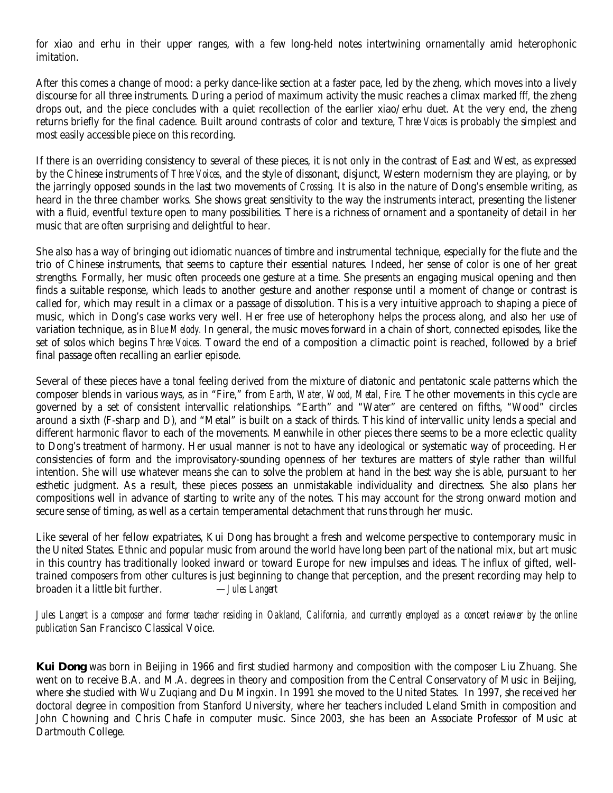for xiao and erhu in their upper ranges, with a few long-held notes intertwining ornamentally amid heterophonic imitation.

After this comes a change of mood: a perky dance-like section at a faster pace, led by the zheng, which moves into a lively discourse for all three instruments. During a period of maximum activity the music reaches a climax marked *fff,* the zheng drops out, and the piece concludes with a quiet recollection of the earlier xiao/erhu duet. At the very end, the zheng returns briefly for the final cadence. Built around contrasts of color and texture, *Three Voices* is probably the simplest and most easily accessible piece on this recording.

If there is an overriding consistency to several of these pieces, it is not only in the contrast of East and West, as expressed by the Chinese instruments of *Three Voices,* and the style of dissonant, disjunct, Western modernism they are playing, or by the jarringly opposed sounds in the last two movements of *Crossing.* It is also in the nature of Dong's ensemble writing, as heard in the three chamber works. She shows great sensitivity to the way the instruments interact, presenting the listener with a fluid, eventful texture open to many possibilities. There is a richness of ornament and a spontaneity of detail in her music that are often surprising and delightful to hear.

She also has a way of bringing out idiomatic nuances of timbre and instrumental technique, especially for the flute and the trio of Chinese instruments, that seems to capture their essential natures. Indeed, her sense of color is one of her great strengths. Formally, her music often proceeds one gesture at a time. She presents an engaging musical opening and then finds a suitable response, which leads to another gesture and another response until a moment of change or contrast is called for, which may result in a climax or a passage of dissolution. This is a very intuitive approach to shaping a piece of music, which in Dong's case works very well. Her free use of heterophony helps the process along, and also her use of variation technique, as in *Blue Melody.* In general, the music moves forward in a chain of short, connected episodes, like the set of solos which begins *Three Voices.* Toward the end of a composition a climactic point is reached, followed by a brief final passage often recalling an earlier episode.

Several of these pieces have a tonal feeling derived from the mixture of diatonic and pentatonic scale patterns which the composer blends in various ways, as in "Fire," from *Earth, Water, Wood, Metal, Fire*. The other movements in this cycle are governed by a set of consistent intervallic relationships. "Earth" and "Water" are centered on fifths, "Wood" circles around a sixth (F-sharp and D), and "Metal" is built on a stack of thirds. This kind of intervallic unity lends a special and different harmonic flavor to each of the movements. Meanwhile in other pieces there seems to be a more eclectic quality to Dong's treatment of harmony. Her usual manner is not to have any ideological or systematic way of proceeding. Her consistencies of form and the improvisatory-sounding openness of her textures are matters of style rather than willful intention. She will use whatever means she can to solve the problem at hand in the best way she is able, pursuant to her esthetic judgment. As a result, these pieces possess an unmistakable individuality and directness. She also plans her compositions well in advance of starting to write any of the notes. This may account for the strong onward motion and secure sense of timing, as well as a certain temperamental detachment that runs through her music.

Like several of her fellow expatriates, Kui Dong has brought a fresh and welcome perspective to contemporary music in the United States. Ethnic and popular music from around the world have long been part of the national mix, but art music in this country has traditionally looked inward or toward Europe for new impulses and ideas. The influx of gifted, welltrained composers from other cultures is just beginning to change that perception, and the present recording may help to broaden it a little bit further. —*Jules Langert*

*Jules Langert is a composer and former teacher residing in Oakland, California, and currently employed as a concert reviewer by the online publication* San Francisco Classical Voice.

**Kui Dong** was born in Beijing in 1966 and first studied harmony and composition with the composer Liu Zhuang. She went on to receive B.A. and M.A. degrees in theory and composition from the Central Conservatory of Music in Beijing, where she studied with Wu Zuqiang and Du Mingxin. In 1991 she moved to the United States. In 1997, she received her doctoral degree in composition from Stanford University, where her teachers included Leland Smith in composition and John Chowning and Chris Chafe in computer music. Since 2003, she has been an Associate Professor of Music at Dartmouth College.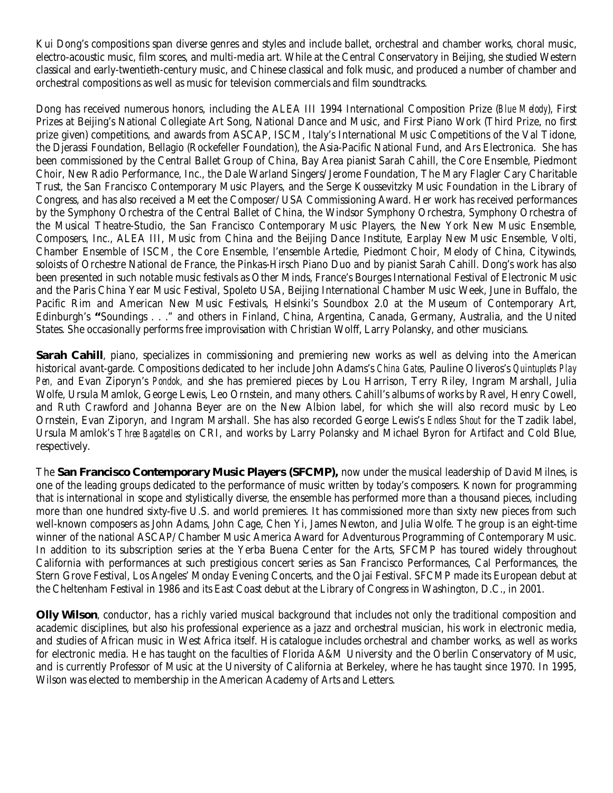Kui Dong's compositions span diverse genres and styles and include ballet, orchestral and chamber works, choral music, electro-acoustic music, film scores, and multi-media art. While at the Central Conservatory in Beijing, she studied Western classical and early-twentieth-century music, and Chinese classical and folk music, and produced a number of chamber and orchestral compositions as well as music for television commercials and film soundtracks.

Dong has received numerous honors, including the ALEA III 1994 International Composition Prize (*Blue Melody*), First Prizes at Beijing's National Collegiate Art Song, National Dance and Music, and First Piano Work (Third Prize, no first prize given) competitions, and awards from ASCAP, ISCM, Italy's International Music Competitions of the Val Tidone, the Djerassi Foundation, Bellagio (Rockefeller Foundation), the Asia-Pacific National Fund, and Ars Electronica. She has been commissioned by the Central Ballet Group of China, Bay Area pianist Sarah Cahill, the Core Ensemble, Piedmont Choir, New Radio Performance, Inc., the Dale Warland Singers/Jerome Foundation, The Mary Flagler Cary Charitable Trust, the San Francisco Contemporary Music Players, and the Serge Koussevitzky Music Foundation in the Library of Congress, and has also received a Meet the Composer/USA Commissioning Award. Her work has received performances by the Symphony Orchestra of the Central Ballet of China, the Windsor Symphony Orchestra, Symphony Orchestra of the Musical Theatre-Studio, the San Francisco Contemporary Music Players, the New York New Music Ensemble, Composers, Inc., ALEA III, Music from China and the Beijing Dance Institute, Earplay New Music Ensemble, Volti, Chamber Ensemble of ISCM, the Core Ensemble, l'ensemble Artedie, Piedmont Choir, Melody of China, Citywinds, soloists of Orchestre National de France, the Pinkas-Hirsch Piano Duo and by pianist Sarah Cahill. Dong's work has also been presented in such notable music festivals as Other Minds, France's Bourges International Festival of Electronic Music and the Paris China Year Music Festival, Spoleto USA, Beijing International Chamber Music Week, June in Buffalo, the Pacific Rim and American New Music Festivals, Helsinki's Soundbox 2.0 at the Museum of Contemporary Art, Edinburgh's **"**Soundings . . ." and others in Finland, China, Argentina, Canada, Germany, Australia, and the United States. She occasionally performs free improvisation with Christian Wolff, Larry Polansky, and other musicians.

**Sarah Cahill**, piano, specializes in commissioning and premiering new works as well as delving into the American historical avant-garde. Compositions dedicated to her include John Adams's *China Gates,* Pauline Oliveros's *Quintuplets Play Pen,* and Evan Ziporyn's *Pondok,* and she has premiered pieces by Lou Harrison, Terry Riley, Ingram Marshall, Julia Wolfe, Ursula Mamlok, George Lewis, Leo Ornstein, and many others. Cahill's albums of works by Ravel, Henry Cowell, and Ruth Crawford and Johanna Beyer are on the New Albion label, for which she will also record music by Leo Ornstein, Evan Ziporyn, and Ingram Marshall. She has also recorded George Lewis's *Endless Shout* for the Tzadik label, Ursula Mamlok's *Three Bagatelles* on CRI, and works by Larry Polansky and Michael Byron for Artifact and Cold Blue, respectively.

The **San Francisco Contemporary Music Players (SFCMP),** now under the musical leadership of David Milnes, is one of the leading groups dedicated to the performance of music written by today's composers. Known for programming that is international in scope and stylistically diverse, the ensemble has performed more than a thousand pieces, including more than one hundred sixty-five U.S. and world premieres. It has commissioned more than sixty new pieces from such well-known composers as John Adams, John Cage, Chen Yi, James Newton, and Julia Wolfe. The group is an eight-time winner of the national ASCAP/Chamber Music America Award for Adventurous Programming of Contemporary Music. In addition to its subscription series at the Yerba Buena Center for the Arts, SFCMP has toured widely throughout California with performances at such prestigious concert series as San Francisco Performances, Cal Performances, the Stern Grove Festival, Los Angeles' Monday Evening Concerts, and the Ojai Festival. SFCMP made its European debut at the Cheltenham Festival in 1986 and its East Coast debut at the Library of Congress in Washington, D.C., in 2001.

**Olly Wilson**, conductor, has a richly varied musical background that includes not only the traditional composition and academic disciplines, but also his professional experience as a jazz and orchestral musician, his work in electronic media, and studies of African music in West Africa itself. His catalogue includes orchestral and chamber works, as well as works for electronic media. He has taught on the faculties of Florida A&M University and the Oberlin Conservatory of Music, and is currently Professor of Music at the University of California at Berkeley, where he has taught since 1970. In 1995, Wilson was elected to membership in the American Academy of Arts and Letters.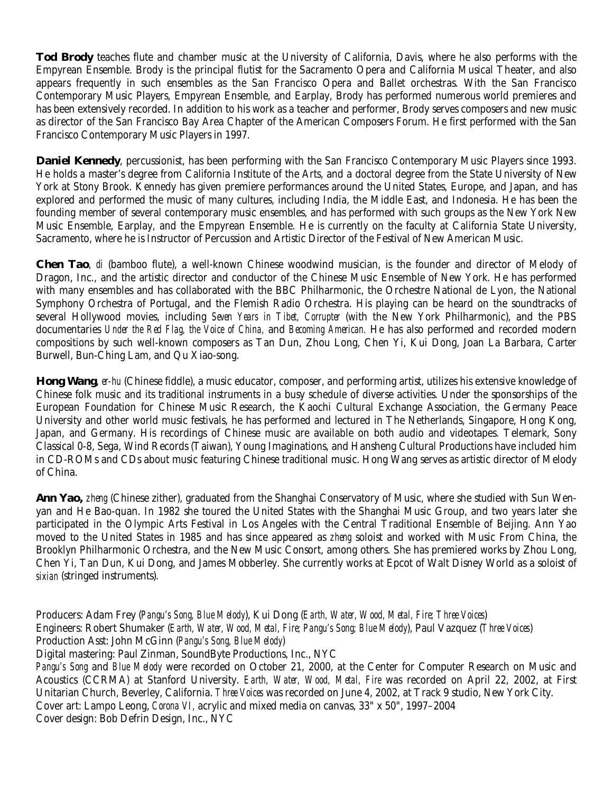**Tod Brody** teaches flute and chamber music at the University of California, Davis, where he also performs with the Empyrean Ensemble. Brody is the principal flutist for the Sacramento Opera and California Musical Theater, and also appears frequently in such ensembles as the San Francisco Opera and Ballet orchestras. With the San Francisco Contemporary Music Players, Empyrean Ensemble, and Earplay, Brody has performed numerous world premieres and has been extensively recorded. In addition to his work as a teacher and performer, Brody serves composers and new music as director of the San Francisco Bay Area Chapter of the American Composers Forum. He first performed with the San Francisco Contemporary Music Players in 1997.

**Daniel Kennedy**, percussionist, has been performing with the San Francisco Contemporary Music Players since 1993. He holds a master's degree from California Institute of the Arts, and a doctoral degree from the State University of New York at Stony Brook. Kennedy has given premiere performances around the United States, Europe, and Japan, and has explored and performed the music of many cultures, including India, the Middle East, and Indonesia. He has been the founding member of several contemporary music ensembles, and has performed with such groups as the New York New Music Ensemble, Earplay, and the Empyrean Ensemble. He is currently on the faculty at California State University, Sacramento, where he is Instructor of Percussion and Artistic Director of the Festival of New American Music.

**Chen Tao**, *di* (bamboo flute), a well-known Chinese woodwind musician, is the founder and director of Melody of Dragon, Inc., and the artistic director and conductor of the Chinese Music Ensemble of New York. He has performed with many ensembles and has collaborated with the BBC Philharmonic, the Orchestre National de Lyon, the National Symphony Orchestra of Portugal, and the Flemish Radio Orchestra. His playing can be heard on the soundtracks of several Hollywood movies, including *Seven Years in Tibet, Corrupter* (with the New York Philharmonic), and the PBS documentaries *Under the Red Flag, the Voice of China,* and *Becoming American.* He has also performed and recorded modern compositions by such well-known composers as Tan Dun, Zhou Long, Chen Yi, Kui Dong, Joan La Barbara, Carter Burwell, Bun-Ching Lam, and Qu Xiao-song.

**Hong Wang**, *er-hu* (Chinese fiddle), a music educator, composer, and performing artist, utilizes his extensive knowledge of Chinese folk music and its traditional instruments in a busy schedule of diverse activities. Under the sponsorships of the European Foundation for Chinese Music Research, the Kaochi Cultural Exchange Association, the Germany Peace University and other world music festivals, he has performed and lectured in The Netherlands, Singapore, Hong Kong, Japan, and Germany. His recordings of Chinese music are available on both audio and videotapes. Telemark, Sony Classical 0-8, Sega, Wind Records (Taiwan), Young Imaginations, and Hansheng Cultural Productions have included him in CD-ROMs and CDs about music featuring Chinese traditional music. Hong Wang serves as artistic director of Melody of China.

**Ann Yao,** *zheng* (Chinese zither), graduated from the Shanghai Conservatory of Music, where she studied with Sun Wenyan and He Bao-quan. In 1982 she toured the United States with the Shanghai Music Group, and two years later she participated in the Olympic Arts Festival in Los Angeles with the Central Traditional Ensemble of Beijing. Ann Yao moved to the United States in 1985 and has since appeared as *zheng* soloist and worked with Music From China, the Brooklyn Philharmonic Orchestra, and the New Music Consort, among others. She has premiered works by Zhou Long, Chen Yi, Tan Dun, Kui Dong, and James Mobberley. She currently works at Epcot of Walt Disney World as a soloist of *sixian* (stringed instruments).

Producers: Adam Frey (*Pangu's Song, Blue Melody*), Kui Dong (*Earth, Water, Wood, Metal, Fire; Three Voices*) Engineers: Robert Shumaker (*Earth, Water, Wood, Metal, Fire; Pangu's Song; Blue Melody*), Paul Vazquez (*Three Voices*) Production Asst: John McGinn (*Pangu's Song, Blue Melody*)

Digital mastering: Paul Zinman, SoundByte Productions, Inc., NYC

*Pangu's Song* and *Blue Melody* were recorded on October 21, 2000, at the Center for Computer Research on Music and Acoustics (CCRMA) at Stanford University. *Earth, Water, Wood, Metal, Fire* was recorded on April 22, 2002, at First Unitarian Church, Beverley, California. *Three Voices* was recorded on June 4, 2002, at Track 9 studio, New York City. Cover art: Lampo Leong, *Corona VI,* acrylic and mixed media on canvas, 33" x 50", 1997–2004 Cover design: Bob Defrin Design, Inc., NYC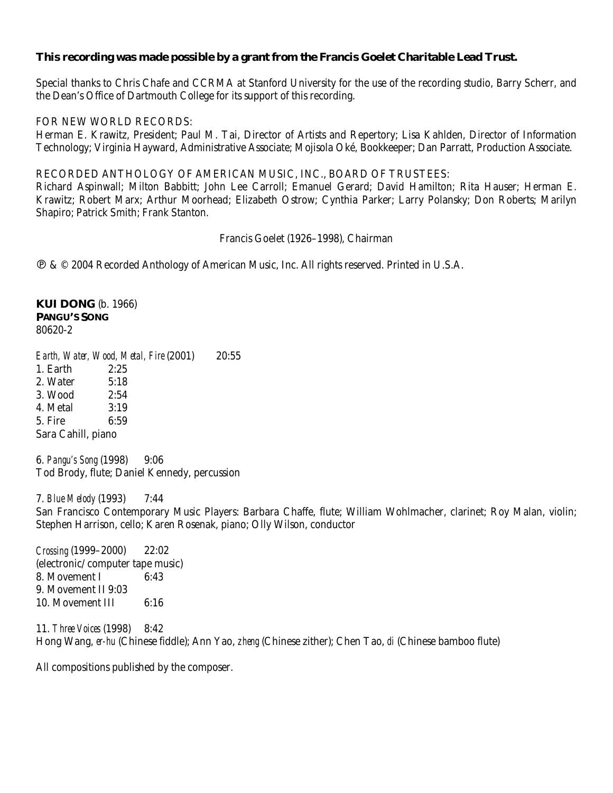## **This recording was made possible by a grant from the Francis Goelet Charitable Lead Trust.**

Special thanks to Chris Chafe and CCRMA at Stanford University for the use of the recording studio, Barry Scherr, and the Dean's Office of Dartmouth College for its support of this recording.

## FOR NEW WORLD RECORDS:

Herman E. Krawitz, President; Paul M. Tai, Director of Artists and Repertory; Lisa Kahlden, Director of Information Technology; Virginia Hayward, Administrative Associate; Mojisola Oké, Bookkeeper; Dan Parratt, Production Associate.

## RECORDED ANTHOLOGY OF AMERICAN MUSIC, INC., BOARD OF TRUSTEES:

Richard Aspinwall; Milton Babbitt; John Lee Carroll; Emanuel Gerard; David Hamilton; Rita Hauser; Herman E. Krawitz; Robert Marx; Arthur Moorhead; Elizabeth Ostrow; Cynthia Parker; Larry Polansky; Don Roberts; Marilyn Shapiro; Patrick Smith; Frank Stanton.

Francis Goelet (1926–1998), Chairman

 $\mathcal{P}$  &  $\mathcal{Q}$  2004 Recorded Anthology of American Music, Inc. All rights reserved. Printed in U.S.A.

**KUI DONG** (b. 1966) **PANGU'S SONG** 80620-2

*Earth, Water, Wood, Metal, Fire* (2001) 20:55

1. Earth 2:25 2. Water 5:18 3. Wood 2:54

4. Metal 3:19

5. Fire 6:59

Sara Cahill, piano

6. *Pangu's Song* (1998) 9:06 Tod Brody, flute; Daniel Kennedy, percussion

7. *Blue Melody* (1993) 7:44

San Francisco Contemporary Music Players: Barbara Chaffe, flute; William Wohlmacher, clarinet; Roy Malan, violin; Stephen Harrison, cello; Karen Rosenak, piano; Olly Wilson, conductor

*Crossing* (1999–2000) 22:02 (electronic/computer tape music) 8. Movement I 6:43 9. Movement II 9:03 10. Movement III 6:16

11. *Three Voices* (1998) 8:42 Hong Wang, *er-hu* (Chinese fiddle); Ann Yao, *zheng* (Chinese zither); Chen Tao, *di* (Chinese bamboo flute)

All compositions published by the composer.